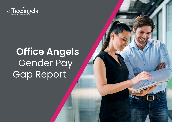

# **Office Angels** Gender Pay Gap Report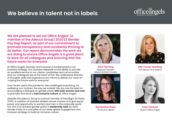### **We believe in talent not in labels**



**We are pleased to set out Office Angels' (a member of the Adecco Group) 2021/22 Gender Pay Gap Report, as part of our commitment to promote transparency and constantly thriving to do better. Our report demonstrates the work we are doing to ensure Office Angels is a great place to work for all colleagues and ensuring that the future works for everyone.**

At Office Angels, Diversity and Inclusion is fundamental to our business strategy. Our business depends on the ability to provide an excellent service to our clients, candidates and communities and our colleagues are at the heart of this. We understand diversity of thoughts, skills and experience are critical to deliver our vision of 'making the future work for everyone'.

Over recent years, the pandemic has challenged everything, our wellbeing, our routines, the way we worked. We are now focused on encouraging a dialogue on gender parity **with both women and men** to promote and drive a **fully inclusive culture** at Office Angels.

Globally the Adecco Group is a proud member of Paradigm for Parity (P4P), a coalition of business leaders whose mission is to give equal power and opportunity to women and men in the corporate world. Our aim is to achieve gender parity in **leadership roles** by 2030. Gender Parity is a core pillar of our wider global Engagement and Inclusion strategy to build an inclusive culture.



Regional President Adecco Northern Europe



**Samantha Rope Kate Garbett**<br>VP HR UK & Ireland Head of Office Ange



**Alex Fleming Niki Turner Harding** SVP Adecco UK & Ireland



Head of Office Angels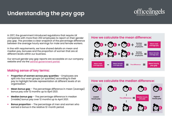# **Understanding the pay gap**



In 2017, the government introduced regulations that require UK companies with more than 250 employees to report on their gender pay gap. This provides a clear snapshot of the percentage difference between the average hourly earnings for male and female workers.

In line with requirements, we have shared details on mean and median pay, bonuses and the proportion of women that are at different levels within our business.

Our annual gender pay gap reports are accessible on our company website and via the [central government portal.](https://gender-pay-gap.service.gov.uk/)

#### **Making sense of key terms:**

- **Proportion of women across pay quartiles** Employees are split into four even groups (or quartiles) according to their pay to highlight female representation at different levels of an organisation.
- **Mean bonus gap** The percentage difference in mean (average) bonus pay over 12 months up to April 2021.
- **Median bonus gap** The percentage difference in median (middle) bonus pay over 12 months up to April 2021.
- **Bonus proportion**  The percentage of men and women who earned a bonus in the relative 12-month period.

#### **How we calculate the mean difference:**



#### **How we calculate the median difference:**

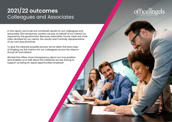### **2021/22 outcomes** Colleagues and Associates



In this report, we've set out combined results for our colleagues and associates (the temporary workers we pay on behalf of our clients) as required by the government. Because associates' hourly rates are most often dictated by our clients, the results aren't entirely representative of our own pay practices.

To give the clearest possible picture, we've taken the extra step of singling out the metrics for our colleagues across the Adecco Group UK and Ireland.

We feel this offers more transparency about our true position and enables us to talk about the initiatives we are driving to support us being an equal opportunities employer.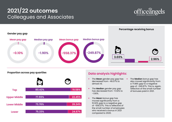### **2021/22 outcomes** Colleagues and Associates





**Proportion across pay quartiles**



#### **Data analysis highlights:**

- The **Mean** gender pay gap has decreased from -46.07% to almost nil.
- The **Median** gender pay gap  $-1.90%$
- The **Mean** bonus gap has moved significantly from a 51.92% gap to a negative gap of -558.37%. This is reflective of the small number of employees who received a bonus in 2021 compared to 2020.
- The **Median** bonus gap has also moved significantly from a 71.98% gap to a negative gap of -249.87%. This is, again, reflective of the small number<br>of bonuses paid in 2021.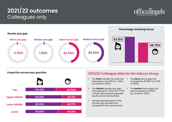# **2021/22 outcomes** Colleagues only





**Proportion across pay quartiles**



### **2021/22 Colleague data for the Adecco Group**

- The **Mean** Gender Pay Gap has reduced by over 25% to -2.00% (vs 24.15% in 2020).
- The **Median** gender pay gap has reduced to 1.52% from 7.97% in 2020, demonstrating greater equity across the business.
- Female representation in the top two pay quartiles has increased for the second year.
- The **Mean** bonus gap has increased to 46.58% (vs 27.8% in 2020).
- The **Median** bonus gap has also increased to 42.53% (vs. 13.42% in 2020).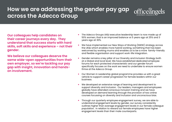### **How we are addressing the gender pay gap across the Adecco Group**



**Our colleagues help candidates on their career journeys every day. They understand that success starts with hard skills, soft skills and experience – not their gender.** 

**We believe our colleagues deserve the same wide-open opportunities from their own employer, so we're tackling our pay gap with insight, innovation and handson involvement.**

- The Adecco Groups UK&I executive leadership team is now made up of 50% women; that is an improved balance vs 5 years ago at 25% and 3 years ago at 30%.
- We have implemented our New Ways of Working (NWW) strategy across the UK&I which enables more hybrid working, something that has been welcomed by working mums and enables us to be a more family-friendly and flexible organisation and support work-life integration.
- Gender remains a key pillar of our Diversity and Inclusion Strategy both at a Global and local level. We have established dedicated employee forums for each protected characteristic and our gender forum specifically focuses on the work we need to undertake to ensure women thrive at the Adecco Group.
- Our Women in Leadership global programme provides us with a great vehicle to support career progression for female leaders within our business.
- We developed an extensive range of learning and development to support diversity and inclusion. Our leaders, managers and employees globally have attended conscious inclusion training and we have developed on demand learning through the provision of two online courses focussing on diversity and inclusion and unconscious bias.
- Through our quarterly employee engagement survey, we are able to understand engagement levels by gender, our survey consistently outlines higher than average engagement levels in our female colleague population. In relation to reward our female employees have higher engagement levels than their male counterparts.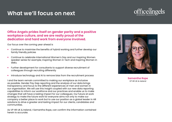### **What we'll focus on next**



#### **Office Angels prides itself on gender parity and a positive workplace culture, and we are really proud of the dedication and hard work from everyone involved.**

Our focus over the coming year ahead is

- Continue to maximise the benefits of hybrid working and further develop our family friendly policies
- Continue to celebrate International Women's Day and our Inspiring Women speaker series for example; Inspiring Women in Tech and Inspiring Women in SMEs.
- Further development for consultants to support diverse recruitment of colleagues through recruiting differently
- Introduce technology and AI to remove bias from the recruitment process

I and the team remain committed to making our workplace as inclusive as possible. Gender Pay Gap reporting and the analysis of our data brings transparency and focus to the different experiences of men and women in our organisation. We will use this insight coupled with our new data reporting capabilities to inform our workforce and our practices and enable us to make changes that will have a lasting impact for our colleagues. Our future at work strategy to make the future work for everyone aims not only to make our company a better place to work but to use our position as a global leader in HR solutions to drive a greater and lasting impact for our clients, candidates and communities.

As VP HR UK & Ireland, I Samantha Rope, can confirm the information contained herein is accurate.



**Samantha Rope**  VP HR UK & Ireland